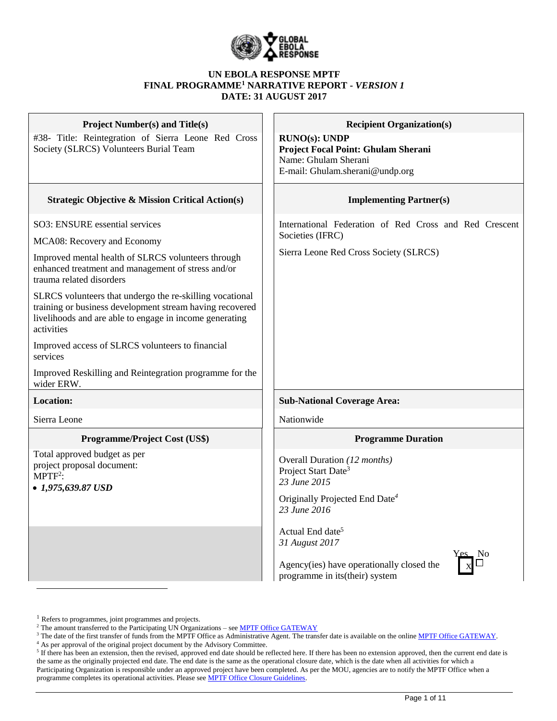

### **UN EBOLA RESPONSE MPTF FINAL PROGRAMME<sup>1</sup> NARRATIVE REPORT -** *VERSION 1* **DATE: 31 AUGUST 2017**

| <b>Project Number(s) and Title(s)</b><br>#38- Title: Reintegration of Sierra Leone Red Cross<br>Society (SLRCS) Volunteers Burial Team                                                                                                                                                                                                                                                                                                                                                                                                          | <b>Recipient Organization(s)</b><br>RUNO(s): UNDP<br>Project Focal Point: Ghulam Sherani<br>Name: Ghulam Sherani<br>E-mail: Ghulam.sherani@undp.org                                                                                                                                            |
|-------------------------------------------------------------------------------------------------------------------------------------------------------------------------------------------------------------------------------------------------------------------------------------------------------------------------------------------------------------------------------------------------------------------------------------------------------------------------------------------------------------------------------------------------|------------------------------------------------------------------------------------------------------------------------------------------------------------------------------------------------------------------------------------------------------------------------------------------------|
| <b>Strategic Objective &amp; Mission Critical Action(s)</b>                                                                                                                                                                                                                                                                                                                                                                                                                                                                                     | <b>Implementing Partner(s)</b>                                                                                                                                                                                                                                                                 |
| SO3: ENSURE essential services<br>MCA08: Recovery and Economy<br>Improved mental health of SLRCS volunteers through<br>enhanced treatment and management of stress and/or<br>trauma related disorders<br>SLRCS volunteers that undergo the re-skilling vocational<br>training or business development stream having recovered<br>livelihoods and are able to engage in income generating<br>activities<br>Improved access of SLRCS volunteers to financial<br>services<br>Improved Reskilling and Reintegration programme for the<br>wider ERW. | International Federation of Red Cross and Red Crescent<br>Societies (IFRC)<br>Sierra Leone Red Cross Society (SLRCS)                                                                                                                                                                           |
| <b>Location:</b>                                                                                                                                                                                                                                                                                                                                                                                                                                                                                                                                | <b>Sub-National Coverage Area:</b>                                                                                                                                                                                                                                                             |
| Sierra Leone                                                                                                                                                                                                                                                                                                                                                                                                                                                                                                                                    | Nationwide                                                                                                                                                                                                                                                                                     |
| Programme/Project Cost (US\$)                                                                                                                                                                                                                                                                                                                                                                                                                                                                                                                   | <b>Programme Duration</b>                                                                                                                                                                                                                                                                      |
| Total approved budget as per<br>project proposal document:<br>$MPTF2$ :<br>$\bullet$ 1,975,639.87 USD                                                                                                                                                                                                                                                                                                                                                                                                                                           | Overall Duration (12 months)<br>Project Start Date <sup>3</sup><br>23 June 2015<br>Originally Projected End Date <sup>4</sup><br>23 June 2016<br>Actual End date <sup>5</sup><br>31 August 2017<br><u>-</u> No<br>Agency(ies) have operationally closed the<br>programme in its (their) system |

<sup>&</sup>lt;sup>1</sup> Refers to programmes, joint programmes and projects.

<sup>&</sup>lt;sup>2</sup> The amount transferred to the Participating UN Organizations – see **MPTF Office GATEWAY** 

<sup>&</sup>lt;sup>3</sup> The date of the first transfer of funds from the MPTF Office as Administrative Agent. The transfer date is available on the online [MPTF Office GATEWAY.](http://mdtf.undp.org/)

<sup>&</sup>lt;sup>4</sup> As per approval of the original project document by the Advisory Committee.<br><sup>5</sup> If there has been an extension, then the revised, approved end date should be reflected here. If there has been no extension approved, the the same as the originally projected end date. The end date is the same as the operational closure date, which is the date when all activities for which a Participating Organization is responsible under an approved project have been completed. As per the MOU, agencies are to notify the MPTF Office when a programme completes its operational activities. Please see **MPTF Office Closure Guidelines**.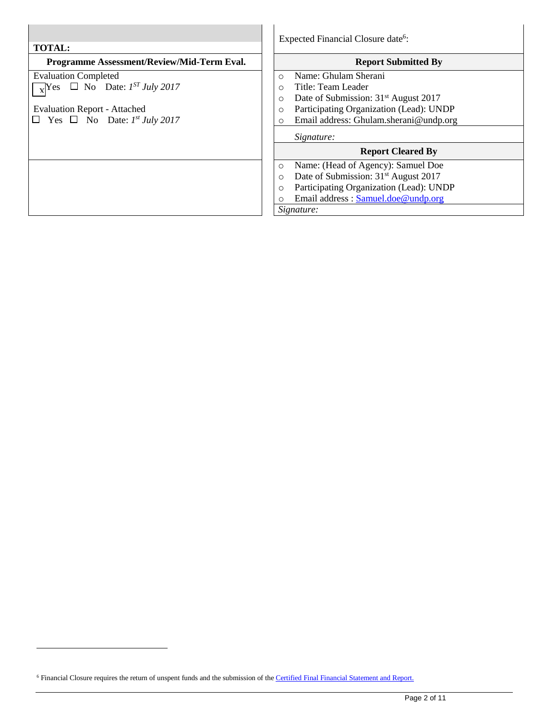| <b>TOTAL:</b>                                            | Expected Financial Closure date <sup>6</sup> :              |  |  |  |
|----------------------------------------------------------|-------------------------------------------------------------|--|--|--|
| Programme Assessment/Review/Mid-Term Eval.               | <b>Report Submitted By</b>                                  |  |  |  |
| <b>Evaluation Completed</b>                              | Name: Ghulam Sherani<br>$\Omega$                            |  |  |  |
| $\sqrt{\text{y}}$ Yes $\Box$ No Date: $1^{ST}$ July 2017 | Title: Team Leader<br>$\circ$                               |  |  |  |
|                                                          | Date of Submission: 31 <sup>st</sup> August 2017<br>O       |  |  |  |
| <b>Evaluation Report - Attached</b>                      | Participating Organization (Lead): UNDP<br>$\circ$          |  |  |  |
| $\Box$ Yes $\Box$ No Date: $I^{st}$ July 2017            | Email address: Ghulam.sherani@undp.org<br>O                 |  |  |  |
|                                                          | Signature:                                                  |  |  |  |
|                                                          | <b>Report Cleared By</b>                                    |  |  |  |
|                                                          | Name: (Head of Agency): Samuel Doe<br>O                     |  |  |  |
|                                                          | Date of Submission: 31 <sup>st</sup> August 2017<br>$\circ$ |  |  |  |
|                                                          | Participating Organization (Lead): UNDP<br>$\circ$          |  |  |  |
|                                                          | Email address: Samuel.doe@undp.org                          |  |  |  |
|                                                          | Signature:                                                  |  |  |  |

 $\overline{a}$ 

<sup>&</sup>lt;sup>6</sup> Financial Closure requires the return of unspent funds and the submission of the *Certified Final Financial Statement and Report.*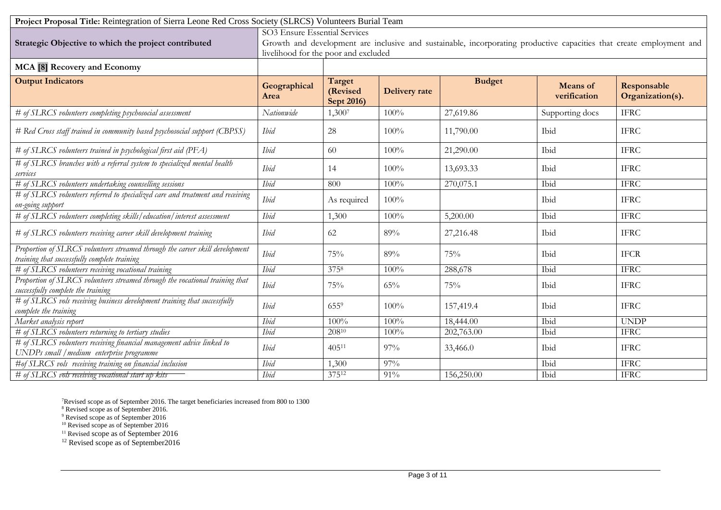| Project Proposal Title: Reintegration of Sierra Leone Red Cross Society (SLRCS) Volunteers Burial Team                       |                                                                                                                                                                                               |                                  |                      |               |                                 |                                 |
|------------------------------------------------------------------------------------------------------------------------------|-----------------------------------------------------------------------------------------------------------------------------------------------------------------------------------------------|----------------------------------|----------------------|---------------|---------------------------------|---------------------------------|
| Strategic Objective to which the project contributed                                                                         | SO3 Ensure Essential Services<br>Growth and development are inclusive and sustainable, incorporating productive capacities that create employment and<br>livelihood for the poor and excluded |                                  |                      |               |                                 |                                 |
| MCA [8] Recovery and Economy                                                                                                 |                                                                                                                                                                                               |                                  |                      |               |                                 |                                 |
| <b>Output Indicators</b>                                                                                                     | Geographical<br>Area                                                                                                                                                                          | Target<br>(Revised<br>Sept 2016) | <b>Delivery</b> rate | <b>Budget</b> | <b>Means</b> of<br>verification | Responsable<br>Organization(s). |
| # of SLRCS volunteers completing psychosocial assessment                                                                     | Nationwide                                                                                                                                                                                    | 1,3007                           | 100%                 | 27,619.86     | Supporting docs                 | <b>IFRC</b>                     |
| # Red Cross staff trained in community based psychosocial support (CBPSS)                                                    | Ibid                                                                                                                                                                                          | 28                               | 100%                 | 11,790.00     | Ibid                            | <b>IFRC</b>                     |
| # of SLRCS volunteers trained in psychological first aid (PFA)                                                               | Ibid                                                                                                                                                                                          | 60                               | 100%                 | 21,290.00     | Ibid                            | <b>IFRC</b>                     |
| # of SLRCS branches with a referral system to specialized mental health<br>services                                          | Ibid                                                                                                                                                                                          | 14                               | 100%                 | 13,693.33     | Ibid                            | <b>IFRC</b>                     |
| # of SLRCS volunteers undertaking counselling sessions                                                                       | <b>Ibid</b>                                                                                                                                                                                   | 800                              | 100%                 | 270,075.1     | Ibid                            | <b>IFRC</b>                     |
| # of SLRCS volunteers referred to specialized care and treatment and receiving<br>on-going support                           | Ibid                                                                                                                                                                                          | As required                      | 100%                 |               | Ibid                            | <b>IFRC</b>                     |
| # of SLRCS volunteers completing skills/education/interest assessment                                                        | Ibid                                                                                                                                                                                          | 1,300                            | 100%                 | 5,200.00      | Ibid                            | <b>IFRC</b>                     |
| # of SLRCS volunteers receiving career skill development training                                                            | Ibid                                                                                                                                                                                          | 62                               | 89%                  | 27,216.48     | Ibid                            | <b>IFRC</b>                     |
| Proportion of SLRCS volunteers streamed through the career skill development<br>training that successfully complete training | <b>Ibid</b>                                                                                                                                                                                   | 75%                              | 89%                  | 75%           | Ibid                            | <b>IFCR</b>                     |
| # of SLRCS volunteers receiving vocational training                                                                          | Ibid                                                                                                                                                                                          | 3758                             | 100%                 | 288,678       | Ibid                            | <b>IFRC</b>                     |
| Proportion of SLRCS volunteers streamed through the vocational training that<br>successfully complete the training           | Ibid                                                                                                                                                                                          | 75%                              | 65%                  | 75%           | Ibid                            | <b>IFRC</b>                     |
| # of SLRCS vols receiving business development training that successfully<br>complete the training                           | Ibid                                                                                                                                                                                          | 6559                             | 100%                 | 157,419.4     | Ibid                            | <b>IFRC</b>                     |
| Market analysis report                                                                                                       | <b>Ibid</b>                                                                                                                                                                                   | 100%                             | 100%                 | 18,444.00     | Ibid                            | <b>UNDP</b>                     |
| # of SLRCS volunteers returning to tertiary studies                                                                          | Ibid                                                                                                                                                                                          | 20810                            | 100%                 | 202,763.00    | Ibid                            | <b>IFRC</b>                     |
| # of SLRCS volunteers receiving financial management advice linked to<br>UNDPs small / medium enterprise programme           | Ibid                                                                                                                                                                                          | $405^{11}$                       | 97%                  | 33,466.0      | Ibid                            | <b>IFRC</b>                     |
| #of SLRCS vols receiving training on financial inclusion                                                                     | Ibid                                                                                                                                                                                          | 1,300                            | 97%                  |               | Ibid                            | <b>IFRC</b>                     |
| # of SLRCS vols receiving vocational start up kits                                                                           | <b>I</b> bid                                                                                                                                                                                  | 37512                            | 91%                  | 156,250.00    | Ibid                            | <b>IFRC</b>                     |

<sup>7</sup>Revised scope as of September 2016. The target beneficiaries increased from 800 to 1300

<sup>8</sup> Revised scope as of September 2016.

<sup>9</sup> Revised scope as of September 2016

<sup>10</sup> Revised scope as of September 2016

<sup>11</sup> Revised scope as of September 2016

<sup>12</sup> Revised scope as of September2016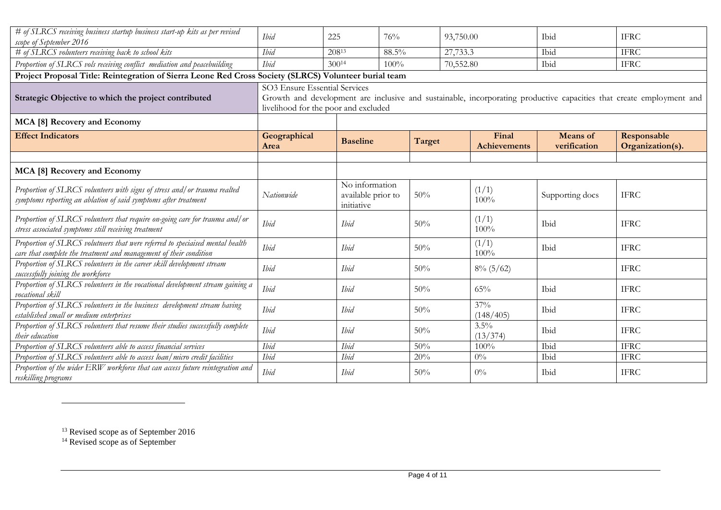| # of SLRCS receiving business startup business start-up kits as per revised<br>scope of September 2016                                              | <b>I</b> bid                                                                                                                                                                                  | 225                                                | 76%   |        | 93,750.00 |                              | Ibid                            | <b>IFRC</b>                     |
|-----------------------------------------------------------------------------------------------------------------------------------------------------|-----------------------------------------------------------------------------------------------------------------------------------------------------------------------------------------------|----------------------------------------------------|-------|--------|-----------|------------------------------|---------------------------------|---------------------------------|
| # of SLRCS volunteers receiving back to school kits                                                                                                 | <b>Ibid</b>                                                                                                                                                                                   | 20813                                              | 88.5% |        | 27,733.3  |                              | Ibid                            | <b>IFRC</b>                     |
| Proportion of SLRCS vols receiving conflict mediation and peacebuilding                                                                             | <b>Ibid</b>                                                                                                                                                                                   | 30014                                              | 100%  |        | 70,552.80 |                              | Ibid                            | <b>IFRC</b>                     |
| Project Proposal Title: Reintegration of Sierra Leone Red Cross Society (SLRCS) Volunteer burial team                                               |                                                                                                                                                                                               |                                                    |       |        |           |                              |                                 |                                 |
| Strategic Objective to which the project contributed                                                                                                | SO3 Ensure Essential Services<br>Growth and development are inclusive and sustainable, incorporating productive capacities that create employment and<br>livelihood for the poor and excluded |                                                    |       |        |           |                              |                                 |                                 |
| MCA [8] Recovery and Economy                                                                                                                        |                                                                                                                                                                                               |                                                    |       |        |           |                              |                                 |                                 |
| <b>Effect Indicators</b>                                                                                                                            | Geographical<br>Area                                                                                                                                                                          | <b>Baseline</b>                                    |       | Target |           | Final<br><b>Achievements</b> | <b>Means</b> of<br>verification | Responsable<br>Organization(s). |
|                                                                                                                                                     |                                                                                                                                                                                               |                                                    |       |        |           |                              |                                 |                                 |
| MCA [8] Recovery and Economy                                                                                                                        |                                                                                                                                                                                               |                                                    |       |        |           |                              |                                 |                                 |
| Proportion of SLRCS volunteers with signs of stress and/or trauma realted<br>symptoms reporting an ablation of said symptoms after treatment        | Nationwide                                                                                                                                                                                    | No information<br>available prior to<br>initiative |       | 50%    |           | (1/1)<br>$100\%$             | Supporting docs                 | <b>IFRC</b>                     |
| Proportion of SLRCS volunteers that require on-going care for trauma and/or<br>stress associated symptoms still receiving treatment                 | Ibid                                                                                                                                                                                          | <b>I</b> bid                                       |       | 50%    |           | (1/1)<br>100%                | Ibid                            | <b>IFRC</b>                     |
| Proportion of SLRCS volutneers that were referred to speciaised mental health<br>care that complete the treatment and management of their condition | Ibid                                                                                                                                                                                          | Ibid                                               |       | 50%    |           | (1/1)<br>100%                | Ibid                            | <b>IFRC</b>                     |
| Proportion of SLRCS volunteers in the career skill development stream<br>successfully joining the workforce                                         | Ibid                                                                                                                                                                                          | Ibid                                               |       | 50%    |           | $8\%$ (5/62)                 |                                 | <b>IFRC</b>                     |
| Proportion of SLRCS volunteers in the vocational development stream gaining a<br>vocational skill                                                   | Ibid                                                                                                                                                                                          | <b>I</b> bid                                       |       | 50%    |           | 65%                          | Ibid                            | <b>IFRC</b>                     |
| Proportion of SLRCS volunteers in the business development stream having<br>established small or medium enterprises                                 | Ibid                                                                                                                                                                                          | Ibid                                               |       | 50%    |           | 37%<br>(148/405)             | Ibid                            | <b>IFRC</b>                     |
| Proportion of SLRCS volunteers that resume their studies successfully complete<br>their education                                                   | <b>Ibid</b>                                                                                                                                                                                   | <b>I</b> bid                                       |       | 50%    |           | 3.5%<br>(13/374)             | Ibid                            | <b>IFRC</b>                     |
| Proportion of SLRCS volunteers able to access financial services                                                                                    | <b>I</b> bid                                                                                                                                                                                  | Ibid                                               |       | 50%    |           | 100%                         | Ibid                            | <b>IFRC</b>                     |
| Proportion of SLRCS volunteers able to access loan/micro credit facilities                                                                          | <i>Ibid</i>                                                                                                                                                                                   | Ibid                                               |       | $20\%$ |           | $0\%$                        | Ibid                            | <b>IFRC</b>                     |
| Proportion of the wider ERW workforce that can access future reintegration and<br>reskilling programs                                               | Ibid                                                                                                                                                                                          | <b>I</b> bid                                       |       | 50%    |           | $0\%$                        | Ibid                            | <b>IFRC</b>                     |

 $\overline{a}$ 

<sup>&</sup>lt;sup>13</sup> Revised scope as of September 2016

<sup>&</sup>lt;sup>14</sup> Revised scope as of September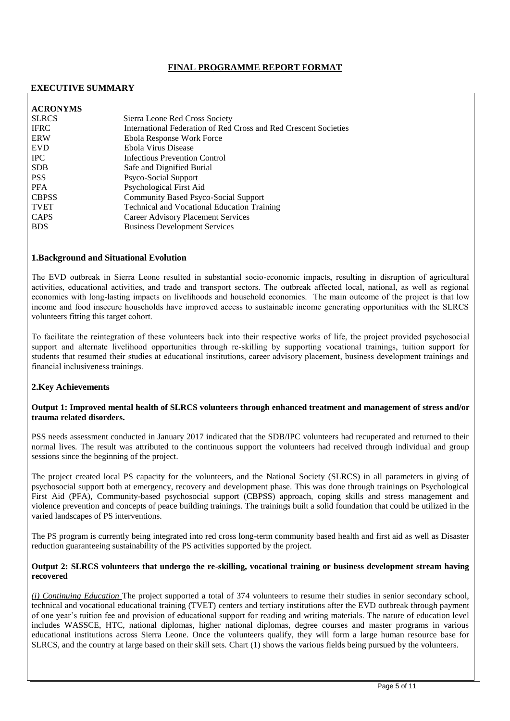# **FINAL PROGRAMME REPORT FORMAT**

### **EXECUTIVE SUMMARY**

| <b>ACRONYMS</b> |                                                                  |
|-----------------|------------------------------------------------------------------|
| <b>SLRCS</b>    | Sierra Leone Red Cross Society                                   |
| <b>IFRC</b>     | International Federation of Red Cross and Red Crescent Societies |
| <b>ERW</b>      | Ebola Response Work Force                                        |
| <b>EVD</b>      | Ebola Virus Disease                                              |
| <b>IPC</b>      | <b>Infectious Prevention Control</b>                             |
| <b>SDB</b>      | Safe and Dignified Burial                                        |
| <b>PSS</b>      | Psyco-Social Support                                             |
| <b>PFA</b>      | Psychological First Aid                                          |
| <b>CBPSS</b>    | <b>Community Based Psyco-Social Support</b>                      |
| <b>TVET</b>     | <b>Technical and Vocational Education Training</b>               |
| <b>CAPS</b>     | Career Advisory Placement Services                               |
| <b>BDS</b>      | <b>Business Development Services</b>                             |

#### **1.Background and Situational Evolution**

The EVD outbreak in Sierra Leone resulted in substantial socio-economic impacts, resulting in disruption of agricultural activities, educational activities, and trade and transport sectors. The outbreak affected local, national, as well as regional economies with long-lasting impacts on livelihoods and household economies. The main outcome of the project is that low income and food insecure households have improved access to sustainable income generating opportunities with the SLRCS volunteers fitting this target cohort.

To facilitate the reintegration of these volunteers back into their respective works of life, the project provided psychosocial support and alternate livelihood opportunities through re-skilling by supporting vocational trainings, tuition support for students that resumed their studies at educational institutions, career advisory placement, business development trainings and financial inclusiveness trainings.

### **2.Key Achievements**

#### **Output 1: Improved mental health of SLRCS volunteers through enhanced treatment and management of stress and/or trauma related disorders.**

PSS needs assessment conducted in January 2017 indicated that the SDB/IPC volunteers had recuperated and returned to their normal lives. The result was attributed to the continuous support the volunteers had received through individual and group sessions since the beginning of the project.

The project created local PS capacity for the volunteers, and the National Society (SLRCS) in all parameters in giving of psychosocial support both at emergency, recovery and development phase. This was done through trainings on Psychological First Aid (PFA), Community-based psychosocial support (CBPSS) approach, coping skills and stress management and violence prevention and concepts of peace building trainings. The trainings built a solid foundation that could be utilized in the varied landscapes of PS interventions.

The PS program is currently being integrated into red cross long-term community based health and first aid as well as Disaster reduction guaranteeing sustainability of the PS activities supported by the project.

#### **Output 2: SLRCS volunteers that undergo the re-skilling, vocational training or business development stream having recovered**

*(i) Continuing Education* The project supported a total of 374 volunteers to resume their studies in senior secondary school, technical and vocational educational training (TVET) centers and tertiary institutions after the EVD outbreak through payment of one year's tuition fee and provision of educational support for reading and writing materials. The nature of education level includes WASSCE, HTC, national diplomas, higher national diplomas, degree courses and master programs in various educational institutions across Sierra Leone. Once the volunteers qualify, they will form a large human resource base for SLRCS, and the country at large based on their skill sets. Chart (1) shows the various fields being pursued by the volunteers.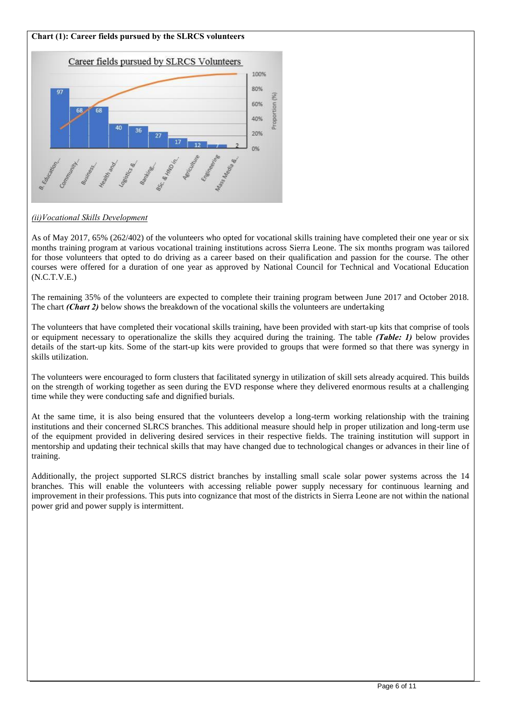# **Chart (1): Career fields pursued by the SLRCS volunteers**



## *(ii)Vocational Skills Development*

As of May 2017, 65% (262/402) of the volunteers who opted for vocational skills training have completed their one year or six months training program at various vocational training institutions across Sierra Leone. The six months program was tailored for those volunteers that opted to do driving as a career based on their qualification and passion for the course. The other courses were offered for a duration of one year as approved by National Council for Technical and Vocational Education (N.C.T.V.E.)

The remaining 35% of the volunteers are expected to complete their training program between June 2017 and October 2018. The chart *(Chart 2)* below shows the breakdown of the vocational skills the volunteers are undertaking

The volunteers that have completed their vocational skills training, have been provided with start-up kits that comprise of tools or equipment necessary to operationalize the skills they acquired during the training. The table *(Table: 1)* below provides details of the start-up kits. Some of the start-up kits were provided to groups that were formed so that there was synergy in skills utilization.

The volunteers were encouraged to form clusters that facilitated synergy in utilization of skill sets already acquired. This builds on the strength of working together as seen during the EVD response where they delivered enormous results at a challenging time while they were conducting safe and dignified burials.

At the same time, it is also being ensured that the volunteers develop a long-term working relationship with the training institutions and their concerned SLRCS branches. This additional measure should help in proper utilization and long-term use of the equipment provided in delivering desired services in their respective fields. The training institution will support in mentorship and updating their technical skills that may have changed due to technological changes or advances in their line of training.

Additionally, the project supported SLRCS district branches by installing small scale solar power systems across the 14 branches. This will enable the volunteers with accessing reliable power supply necessary for continuous learning and improvement in their professions. This puts into cognizance that most of the districts in Sierra Leone are not within the national power grid and power supply is intermittent.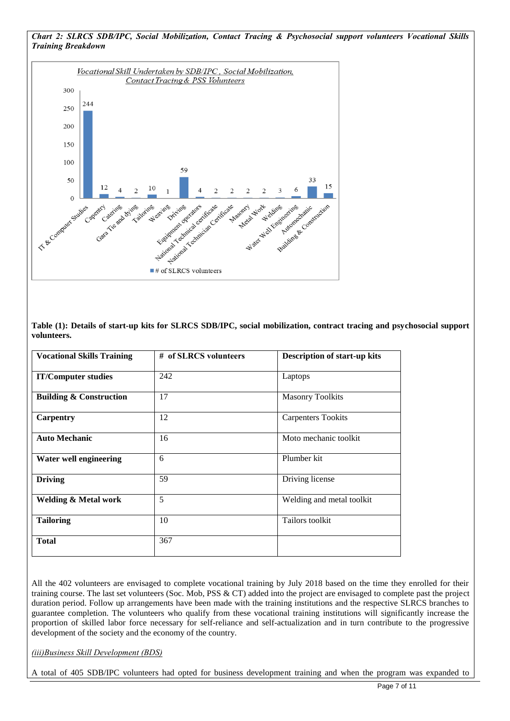

**Table (1): Details of start-up kits for SLRCS SDB/IPC, social mobilization, contract tracing and psychosocial support volunteers.**

| <b>Vocational Skills Training</b>  | # of SLRCS volunteers | <b>Description of start-up kits</b> |
|------------------------------------|-----------------------|-------------------------------------|
| <b>IT/Computer studies</b>         | 242                   | Laptops                             |
| <b>Building &amp; Construction</b> | 17                    | <b>Masonry Toolkits</b>             |
| Carpentry                          | 12                    | <b>Carpenters Tookits</b>           |
| <b>Auto Mechanic</b>               | 16                    | Moto mechanic toolkit               |
| Water well engineering             | 6                     | Plumber kit                         |
| <b>Driving</b>                     | 59                    | Driving license                     |
| <b>Welding &amp; Metal work</b>    | 5                     | Welding and metal toolkit           |
| <b>Tailoring</b>                   | 10                    | Tailors toolkit                     |
| <b>Total</b>                       | 367                   |                                     |

All the 402 volunteers are envisaged to complete vocational training by July 2018 based on the time they enrolled for their training course. The last set volunteers (Soc. Mob, PSS & CT) added into the project are envisaged to complete past the project duration period. Follow up arrangements have been made with the training institutions and the respective SLRCS branches to guarantee completion. The volunteers who qualify from these vocational training institutions will significantly increase the proportion of skilled labor force necessary for self-reliance and self-actualization and in turn contribute to the progressive development of the society and the economy of the country.

*(iii)Business Skill Development (BDS)* 

A total of 405 SDB/IPC volunteers had opted for business development training and when the program was expanded to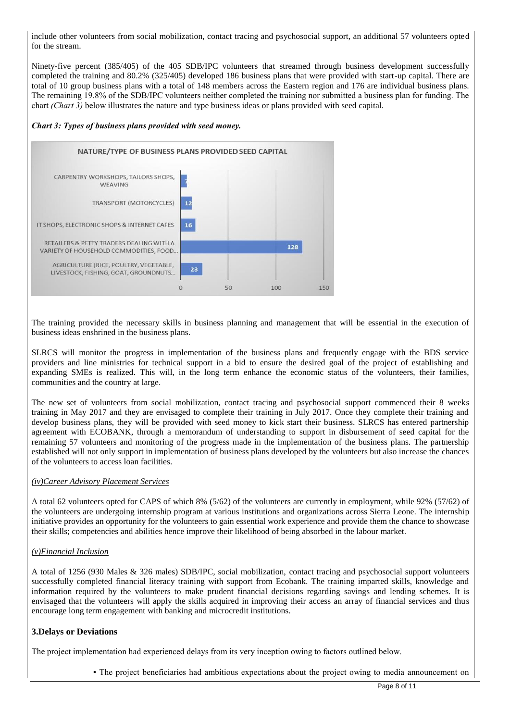include other volunteers from social mobilization, contact tracing and psychosocial support, an additional 57 volunteers opted for the stream.

Ninety-five percent (385/405) of the 405 SDB/IPC volunteers that streamed through business development successfully completed the training and 80.2% (325/405) developed 186 business plans that were provided with start-up capital. There are total of 10 group business plans with a total of 148 members across the Eastern region and 176 are individual business plans. The remaining 19.8% of the SDB/IPC volunteers neither completed the training nor submitted a business plan for funding. The chart *(Chart 3)* below illustrates the nature and type business ideas or plans provided with seed capital.

### *Chart 3: Types of business plans provided with seed money.*



The training provided the necessary skills in business planning and management that will be essential in the execution of business ideas enshrined in the business plans.

SLRCS will monitor the progress in implementation of the business plans and frequently engage with the BDS service providers and line ministries for technical support in a bid to ensure the desired goal of the project of establishing and expanding SMEs is realized. This will, in the long term enhance the economic status of the volunteers, their families, communities and the country at large.

The new set of volunteers from social mobilization, contact tracing and psychosocial support commenced their 8 weeks training in May 2017 and they are envisaged to complete their training in July 2017. Once they complete their training and develop business plans, they will be provided with seed money to kick start their business. SLRCS has entered partnership agreement with ECOBANK, through a memorandum of understanding to support in disbursement of seed capital for the remaining 57 volunteers and monitoring of the progress made in the implementation of the business plans. The partnership established will not only support in implementation of business plans developed by the volunteers but also increase the chances of the volunteers to access loan facilities.

### *(iv)Career Advisory Placement Services*

A total 62 volunteers opted for CAPS of which 8% (5/62) of the volunteers are currently in employment, while 92% (57/62) of the volunteers are undergoing internship program at various institutions and organizations across Sierra Leone. The internship initiative provides an opportunity for the volunteers to gain essential work experience and provide them the chance to showcase their skills; competencies and abilities hence improve their likelihood of being absorbed in the labour market.

### *(v)Financial Inclusion*

A total of 1256 (930 Males & 326 males) SDB/IPC, social mobilization, contact tracing and psychosocial support volunteers successfully completed financial literacy training with support from Ecobank. The training imparted skills, knowledge and information required by the volunteers to make prudent financial decisions regarding savings and lending schemes. It is envisaged that the volunteers will apply the skills acquired in improving their access an array of financial services and thus encourage long term engagement with banking and microcredit institutions.

# **3.Delays or Deviations**

The project implementation had experienced delays from its very inception owing to factors outlined below.

▪ The project beneficiaries had ambitious expectations about the project owing to media announcement on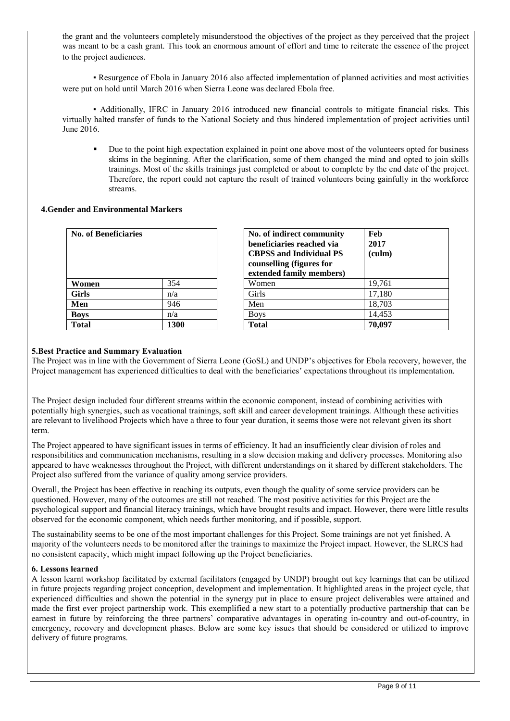the grant and the volunteers completely misunderstood the objectives of the project as they perceived that the project was meant to be a cash grant. This took an enormous amount of effort and time to reiterate the essence of the project to the project audiences.

▪ Resurgence of Ebola in January 2016 also affected implementation of planned activities and most activities were put on hold until March 2016 when Sierra Leone was declared Ebola free.

▪ Additionally, IFRC in January 2016 introduced new financial controls to mitigate financial risks. This virtually halted transfer of funds to the National Society and thus hindered implementation of project activities until June 2016.

 Due to the point high expectation explained in point one above most of the volunteers opted for business skims in the beginning. After the clarification, some of them changed the mind and opted to join skills trainings. Most of the skills trainings just completed or about to complete by the end date of the project. Therefore, the report could not capture the result of trained volunteers being gainfully in the workforce streams.

## **4.Gender and Environmental Markers**

| <b>No. of Beneficiaries</b> |      | No. of indirect community<br>beneficiaries reached via<br><b>CBPSS and Individual PS</b><br>counselling (figures for<br>extended family members) |  |  |
|-----------------------------|------|--------------------------------------------------------------------------------------------------------------------------------------------------|--|--|
| Women                       | 354  | Women                                                                                                                                            |  |  |
| <b>Girls</b>                | n/a  | Girls                                                                                                                                            |  |  |
| Men                         | 946  | Men                                                                                                                                              |  |  |
| <b>Boys</b>                 | n/a  | <b>Boys</b>                                                                                                                                      |  |  |
| Total                       | 1300 | Total                                                                                                                                            |  |  |

| <b>No. of Beneficiaries</b> |      | No. of indirect community<br>beneficiaries reached via<br><b>CBPSS</b> and Individual PS<br>counselling (figures for<br>extended family members) | Feb<br>2017<br>(culm) |
|-----------------------------|------|--------------------------------------------------------------------------------------------------------------------------------------------------|-----------------------|
| Women                       | 354  | Women                                                                                                                                            | 19,761                |
| Girls                       | n/a  | <b>Girls</b>                                                                                                                                     | 17,180                |
| Men                         | 946  | Men                                                                                                                                              | 18.703                |
| Boys                        | n/a  | <b>Boys</b>                                                                                                                                      | 14.453                |
| Total                       | 1300 | <b>Total</b>                                                                                                                                     | 70,097                |

## **5.Best Practice and Summary Evaluation**

The Project was in line with the Government of Sierra Leone (GoSL) and UNDP's objectives for Ebola recovery, however, the Project management has experienced difficulties to deal with the beneficiaries' expectations throughout its implementation.

The Project design included four different streams within the economic component, instead of combining activities with potentially high synergies, such as vocational trainings, soft skill and career development trainings. Although these activities are relevant to livelihood Projects which have a three to four year duration, it seems those were not relevant given its short term.

The Project appeared to have significant issues in terms of efficiency. It had an insufficiently clear division of roles and responsibilities and communication mechanisms, resulting in a slow decision making and delivery processes. Monitoring also appeared to have weaknesses throughout the Project, with different understandings on it shared by different stakeholders. The Project also suffered from the variance of quality among service providers.

Overall, the Project has been effective in reaching its outputs, even though the quality of some service providers can be questioned. However, many of the outcomes are still not reached. The most positive activities for this Project are the psychological support and financial literacy trainings, which have brought results and impact. However, there were little results observed for the economic component, which needs further monitoring, and if possible, support.

The sustainability seems to be one of the most important challenges for this Project. Some trainings are not yet finished. A majority of the volunteers needs to be monitored after the trainings to maximize the Project impact. However, the SLRCS had no consistent capacity, which might impact following up the Project beneficiaries.

### **6. Lessons learned**

A lesson learnt workshop facilitated by external facilitators (engaged by UNDP) brought out key learnings that can be utilized in future projects regarding project conception, development and implementation. It highlighted areas in the project cycle, that experienced difficulties and shown the potential in the synergy put in place to ensure project deliverables were attained and made the first ever project partnership work. This exemplified a new start to a potentially productive partnership that can be earnest in future by reinforcing the three partners' comparative advantages in operating in-country and out-of-country, in emergency, recovery and development phases. Below are some key issues that should be considered or utilized to improve delivery of future programs.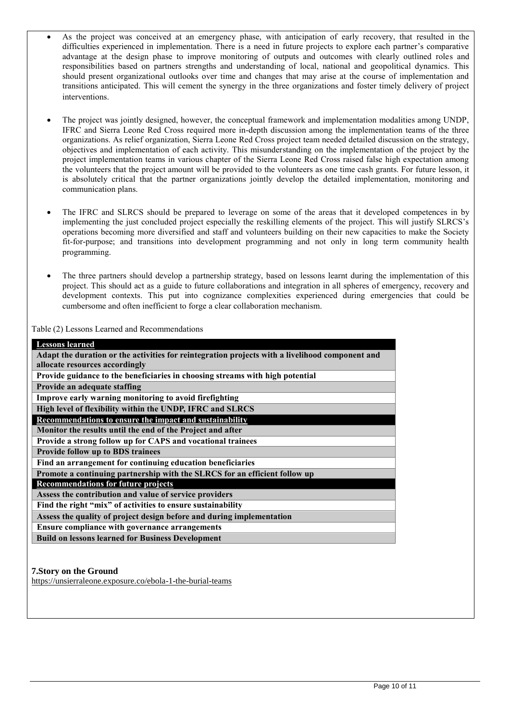- As the project was conceived at an emergency phase, with anticipation of early recovery, that resulted in the difficulties experienced in implementation. There is a need in future projects to explore each partner's comparative advantage at the design phase to improve monitoring of outputs and outcomes with clearly outlined roles and responsibilities based on partners strengths and understanding of local, national and geopolitical dynamics. This should present organizational outlooks over time and changes that may arise at the course of implementation and transitions anticipated. This will cement the synergy in the three organizations and foster timely delivery of project interventions.
- The project was jointly designed, however, the conceptual framework and implementation modalities among UNDP, IFRC and Sierra Leone Red Cross required more in-depth discussion among the implementation teams of the three organizations. As relief organization, Sierra Leone Red Cross project team needed detailed discussion on the strategy, objectives and implementation of each activity. This misunderstanding on the implementation of the project by the project implementation teams in various chapter of the Sierra Leone Red Cross raised false high expectation among the volunteers that the project amount will be provided to the volunteers as one time cash grants. For future lesson, it is absolutely critical that the partner organizations jointly develop the detailed implementation, monitoring and communication plans.
- The IFRC and SLRCS should be prepared to leverage on some of the areas that it developed competences in by implementing the just concluded project especially the reskilling elements of the project. This will justify SLRCS's operations becoming more diversified and staff and volunteers building on their new capacities to make the Society fit-for-purpose; and transitions into development programming and not only in long term community health programming.
- The three partners should develop a partnership strategy, based on lessons learnt during the implementation of this project. This should act as a guide to future collaborations and integration in all spheres of emergency, recovery and development contexts. This put into cognizance complexities experienced during emergencies that could be cumbersome and often inefficient to forge a clear collaboration mechanism.

Table (2) Lessons Learned and Recommendations

| <b>Lessons learned</b>                                                                          |
|-------------------------------------------------------------------------------------------------|
| Adapt the duration or the activities for reintegration projects with a livelihood component and |
| allocate resources accordingly                                                                  |
| Provide guidance to the beneficiaries in choosing streams with high potential                   |
| Provide an adequate staffing                                                                    |
| Improve early warning monitoring to avoid firefighting                                          |
| High level of flexibility within the UNDP, IFRC and SLRCS                                       |
| Recommendations to ensure the impact and sustainability                                         |
| Monitor the results until the end of the Project and after                                      |
| Provide a strong follow up for CAPS and vocational trainees                                     |
| Provide follow up to BDS trainees                                                               |
| Find an arrangement for continuing education beneficiaries                                      |
| Promote a continuing partnership with the SLRCS for an efficient follow up                      |
| <b>Recommendations for future projects</b>                                                      |
| Assess the contribution and value of service providers                                          |
| Find the right "mix" of activities to ensure sustainability                                     |
| Assess the quality of project design before and during implementation                           |
| Ensure compliance with governance arrangements                                                  |
| <b>Build on lessons learned for Business Development</b>                                        |

# **7.Story on the Ground**

https://unsierraleone.exposure.co/ebola-1-the-burial-teams